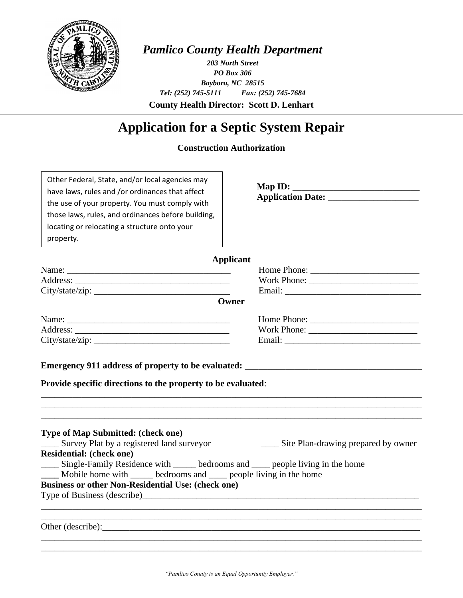

## *Pamlico County Health Department*

**County Health Director: Scott D. Lenhart** *203 North Street PO Box 306 Bayboro, NC 28515 Tel: (252) 745-5111 Fax: (252) 745-7684*

# **Application for a Septic System Repair**

## **Construction Authorization**

| Other Federal, State, and/or local agencies may<br>have laws, rules and /or ordinances that affect<br>the use of your property. You must comply with<br>those laws, rules, and ordinances before building,<br>locating or relocating a structure onto your<br>property. | Map ID: $\_\_$                      |
|-------------------------------------------------------------------------------------------------------------------------------------------------------------------------------------------------------------------------------------------------------------------------|-------------------------------------|
|                                                                                                                                                                                                                                                                         | Applicant                           |
|                                                                                                                                                                                                                                                                         |                                     |
|                                                                                                                                                                                                                                                                         |                                     |
|                                                                                                                                                                                                                                                                         |                                     |
|                                                                                                                                                                                                                                                                         | Owner                               |
|                                                                                                                                                                                                                                                                         |                                     |
|                                                                                                                                                                                                                                                                         | Work Phone:                         |
|                                                                                                                                                                                                                                                                         |                                     |
| Provide specific directions to the property to be evaluated:                                                                                                                                                                                                            |                                     |
| <b>Type of Map Submitted: (check one)</b><br>Survey Plat by a registered land surveyor<br><b>Residential: (check one)</b>                                                                                                                                               | Site Plan-drawing prepared by owner |
| Single-Family Residence with ______ bedrooms and ____ people living in the home                                                                                                                                                                                         |                                     |
| Mobile home with _____ bedrooms and ____ people living in the home                                                                                                                                                                                                      |                                     |
| <b>Business or other Non-Residential Use: (check one)</b>                                                                                                                                                                                                               |                                     |
|                                                                                                                                                                                                                                                                         |                                     |
|                                                                                                                                                                                                                                                                         |                                     |
|                                                                                                                                                                                                                                                                         |                                     |
|                                                                                                                                                                                                                                                                         |                                     |